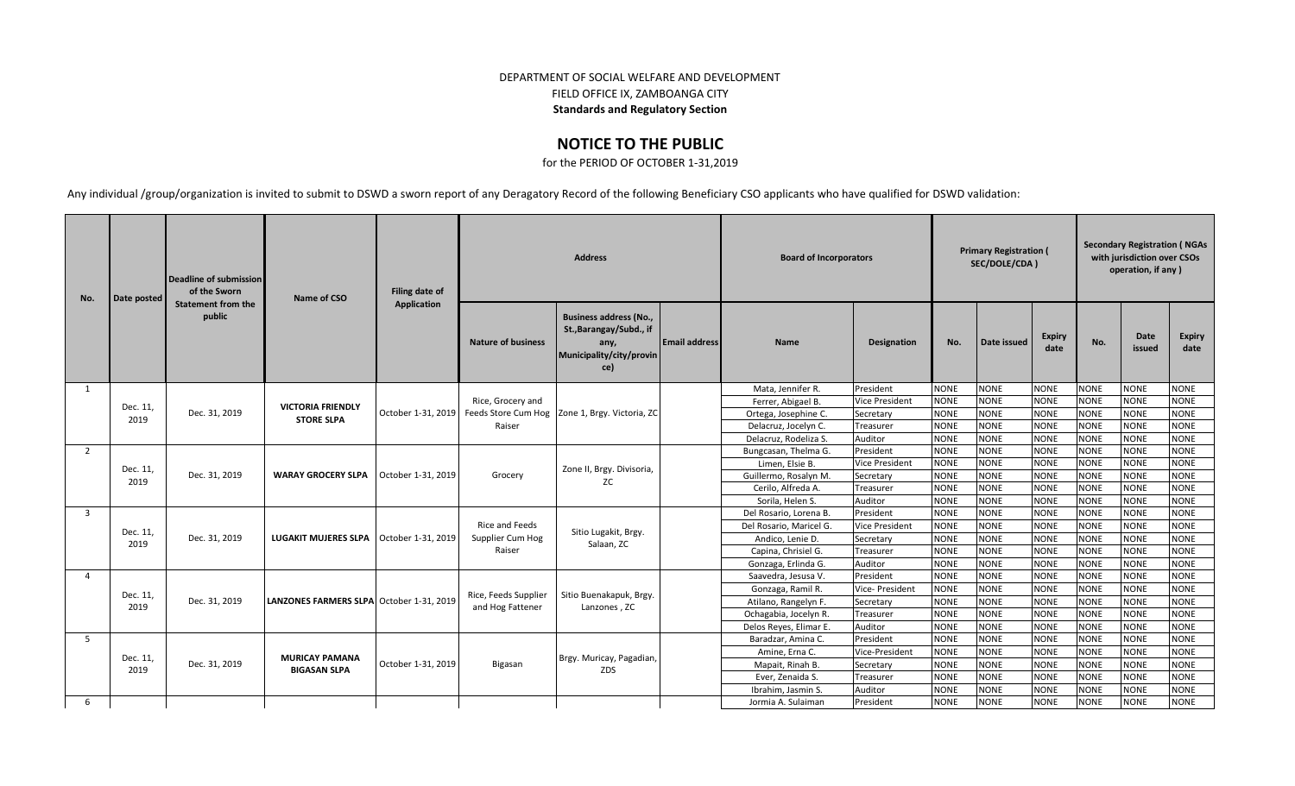## DEPARTMENT OF SOCIAL WELFARE AND DEVELOPMENT FIELD OFFICE IX, ZAMBOANGA CITY **Standards and Regulatory Section**

## **NOTICE TO THE PUBLIC**

for the PERIOD OF OCTOBER 1-31,2019

Any individual /group/organization is invited to submit to DSWD a sworn report of any Deragatory Record of the following Beneficiary CSO applicants who have qualified for DSWD validation:

| No.            | Date posted | Deadline of submission<br>of the Sworn | Name of CSO                               | Filing date of     |                           | <b>Address</b>                                                                                      |                      | <b>Board of Incorporators</b> |                       |             | <b>Primary Registration (</b><br>SEC/DOLE/CDA) |                       | <b>Secondary Registration (NGAs</b><br>with jurisdiction over CSOs<br>operation, if any) |                |                       |
|----------------|-------------|----------------------------------------|-------------------------------------------|--------------------|---------------------------|-----------------------------------------------------------------------------------------------------|----------------------|-------------------------------|-----------------------|-------------|------------------------------------------------|-----------------------|------------------------------------------------------------------------------------------|----------------|-----------------------|
|                |             | <b>Statement from the</b><br>public    |                                           | Application        | <b>Nature of business</b> | <b>Business address (No.,</b><br>St., Barangay/Subd., if<br>any,<br>Municipality/city/provin<br>ce) | <b>Email address</b> | <b>Name</b>                   | Designation           | No.         | Date issued                                    | <b>Expiry</b><br>date | No.                                                                                      | Date<br>issued | <b>Expiry</b><br>date |
| 1              |             |                                        |                                           |                    | Rice, Grocery and         |                                                                                                     |                      | Mata, Jennifer R.             | President             | <b>NONE</b> | <b>NONE</b>                                    | <b>NONE</b>           | <b>NONE</b>                                                                              | <b>NONE</b>    | <b>NONE</b>           |
|                | Dec. 11,    |                                        | <b>VICTORIA FRIENDLY</b>                  |                    |                           |                                                                                                     |                      | Ferrer, Abigael B.            | <b>Vice President</b> | <b>NONE</b> | <b>NONE</b>                                    | <b>NONE</b>           | <b>NONE</b>                                                                              | <b>NONE</b>    | <b>NONE</b>           |
|                | 2019        | Dec. 31, 2019                          | <b>STORE SLPA</b>                         | October 1-31, 2019 |                           | Feeds Store Cum Hog Zone 1, Brgy. Victoria, ZC                                                      |                      | Ortega, Josephine C.          | Secretary             | <b>NONE</b> | <b>NONE</b>                                    | <b>NONE</b>           | <b>NONE</b>                                                                              | <b>NONE</b>    | <b>NONE</b>           |
|                |             |                                        |                                           |                    | Raiser                    |                                                                                                     |                      | Delacruz, Jocelyn C.          | Treasurer             | <b>NONE</b> | <b>NONE</b>                                    | <b>NONE</b>           | <b>NONE</b>                                                                              | <b>NONE</b>    | <b>NONE</b>           |
|                |             |                                        |                                           |                    |                           |                                                                                                     |                      | Delacruz, Rodeliza S.         | Auditor               | <b>NONE</b> | <b>NONE</b>                                    | <b>NONE</b>           | <b>NONE</b>                                                                              | <b>NONE</b>    | <b>NONE</b>           |
| 2              |             |                                        | <b>WARAY GROCERY SLPA</b>                 |                    | Grocery                   | Zone II, Brgy. Divisoria,<br><b>ZC</b>                                                              |                      | Bungcasan, Thelma G.          | President             | <b>NONE</b> | <b>NONE</b>                                    | <b>NONE</b>           | <b>NONE</b>                                                                              | <b>NONE</b>    | <b>NONE</b>           |
|                | Dec. 11,    |                                        |                                           | October 1-31, 2019 |                           |                                                                                                     |                      | Limen, Elsie B.               | <b>Vice President</b> | <b>NONE</b> | <b>NONE</b>                                    | <b>NONE</b>           | <b>NONE</b>                                                                              | <b>NONE</b>    | <b>NONE</b>           |
|                | 2019        | Dec. 31, 2019                          |                                           |                    |                           |                                                                                                     |                      | Guillermo, Rosalyn M.         | Secretary             | <b>NONE</b> | <b>NONE</b>                                    | <b>NONE</b>           | <b>NONE</b>                                                                              | <b>NONE</b>    | <b>NONE</b>           |
|                |             |                                        |                                           |                    |                           |                                                                                                     |                      | Cerilo, Alfreda A.            | Treasurer             | <b>NONE</b> | <b>NONE</b>                                    | <b>NONE</b>           | <b>NONE</b>                                                                              | <b>NONE</b>    | <b>NONE</b>           |
|                |             |                                        |                                           |                    |                           |                                                                                                     |                      | Sorila, Helen S.              | Auditor               | <b>NONE</b> | <b>NONE</b>                                    | <b>NONE</b>           | <b>NONE</b>                                                                              | <b>NONE</b>    | <b>NONE</b>           |
| $\overline{3}$ |             |                                        |                                           |                    | <b>Rice and Feeds</b>     | Sitio Lugakit, Brgy.                                                                                |                      | Del Rosario, Lorena B.        | President             | <b>NONE</b> | <b>NONE</b>                                    | <b>NONE</b>           | <b>NONE</b>                                                                              | <b>NONE</b>    | <b>NONE</b>           |
|                | Dec. 11,    |                                        |                                           |                    |                           |                                                                                                     |                      | Del Rosario, Maricel G.       | <b>Vice President</b> | <b>NONE</b> | <b>NONE</b>                                    | <b>NONE</b>           | <b>NONE</b>                                                                              | <b>NONE</b>    | <b>NONE</b>           |
|                | 2019        | Dec. 31, 2019                          | LUGAKIT MUJERES SLPA   October 1-31, 2019 |                    | Supplier Cum Hog          | Salaan, ZC                                                                                          |                      | Andico. Lenie D.              | Secretary             | <b>NONE</b> | <b>NONE</b>                                    | <b>NONE</b>           | <b>NONE</b>                                                                              | <b>NONE</b>    | <b>NONE</b>           |
|                |             |                                        |                                           |                    | Raiser                    |                                                                                                     |                      | Capina, Chrisiel G.           | Treasurer             | <b>NONE</b> | <b>NONE</b>                                    | <b>NONE</b>           | <b>NONE</b>                                                                              | <b>NONE</b>    | <b>NONE</b>           |
|                |             |                                        |                                           |                    |                           |                                                                                                     |                      | Gonzaga, Erlinda G.           | Auditor               | <b>NONE</b> | <b>NONE</b>                                    | <b>NONE</b>           | <b>NONE</b>                                                                              | <b>NONE</b>    | <b>NONE</b>           |
| $\Delta$       |             |                                        |                                           |                    |                           |                                                                                                     |                      | Saavedra, Jesusa V.           | President             | <b>NONE</b> | <b>NONE</b>                                    | <b>NONE</b>           | <b>NONE</b>                                                                              | <b>NONE</b>    | <b>NONE</b>           |
|                | Dec. 11,    |                                        |                                           |                    | Rice, Feeds Supplier      | Sitio Buenakapuk, Brgy.                                                                             |                      | Gonzaga, Ramil R.             | Vice- President       | <b>NONE</b> | <b>NONE</b>                                    | <b>NONE</b>           | <b>NONE</b>                                                                              | <b>NONE</b>    | <b>NONE</b>           |
|                | 2019        | Dec. 31, 2019                          | LANZONES FARMERS SLPA October 1-31, 2019  |                    | and Hog Fattener          | Lanzones, ZC                                                                                        |                      | Atilano, Rangelyn F.          | Secretary             | <b>NONE</b> | <b>NONE</b>                                    | <b>NONE</b>           | <b>NONE</b>                                                                              | <b>NONE</b>    | <b>NONE</b>           |
|                |             |                                        |                                           |                    |                           |                                                                                                     |                      | Ochagabia, Jocelyn R.         | Treasurer             | <b>NONE</b> | <b>NONE</b>                                    | <b>NONE</b>           | <b>NONE</b>                                                                              | <b>NONE</b>    | <b>NONE</b>           |
|                |             |                                        |                                           |                    |                           |                                                                                                     |                      | Delos Reyes, Elimar E.        | Auditor               | <b>NONE</b> | <b>NONE</b>                                    | <b>NONE</b>           | <b>NONE</b>                                                                              | <b>NONE</b>    | <b>NONE</b>           |
| -5             |             |                                        |                                           |                    |                           |                                                                                                     |                      | Baradzar, Amina C.            | President             | <b>NONE</b> | <b>NONE</b>                                    | <b>NONE</b>           | <b>NONE</b>                                                                              | <b>NONE</b>    | <b>NONE</b>           |
|                | Dec. 11,    |                                        | <b>MURICAY PAMANA</b>                     |                    |                           | Brgy. Muricay, Pagadian,                                                                            |                      | Amine. Erna C.                | Vice-President        | <b>NONE</b> | <b>NONE</b>                                    | <b>NONE</b>           | <b>NONE</b>                                                                              | <b>NONE</b>    | <b>NONE</b>           |
|                | 2019        | Dec. 31, 2019                          | <b>BIGASAN SLPA</b>                       | October 1-31, 2019 | Bigasan                   | ZDS                                                                                                 |                      | Mapait, Rinah B.              | Secretary             | <b>NONE</b> | <b>NONE</b>                                    | <b>NONE</b>           | <b>NONE</b>                                                                              | <b>NONE</b>    | <b>NONE</b>           |
|                |             |                                        |                                           |                    |                           |                                                                                                     |                      | Ever, Zenaida S.              | Treasurer             | <b>NONE</b> | <b>NONE</b>                                    | <b>NONE</b>           | <b>NONE</b>                                                                              | <b>NONE</b>    | <b>NONE</b>           |
|                |             |                                        |                                           |                    |                           |                                                                                                     |                      | Ibrahim, Jasmin S.            | Auditor               | <b>NONE</b> | <b>NONE</b>                                    | <b>NONE</b>           | <b>NONE</b>                                                                              | <b>NONE</b>    | <b>NONE</b>           |
| 6              |             |                                        |                                           |                    |                           |                                                                                                     |                      | Jormia A. Sulaiman            | President             | <b>NONE</b> | <b>NONE</b>                                    | <b>NONE</b>           | <b>NONE</b>                                                                              | <b>NONE</b>    | <b>NONE</b>           |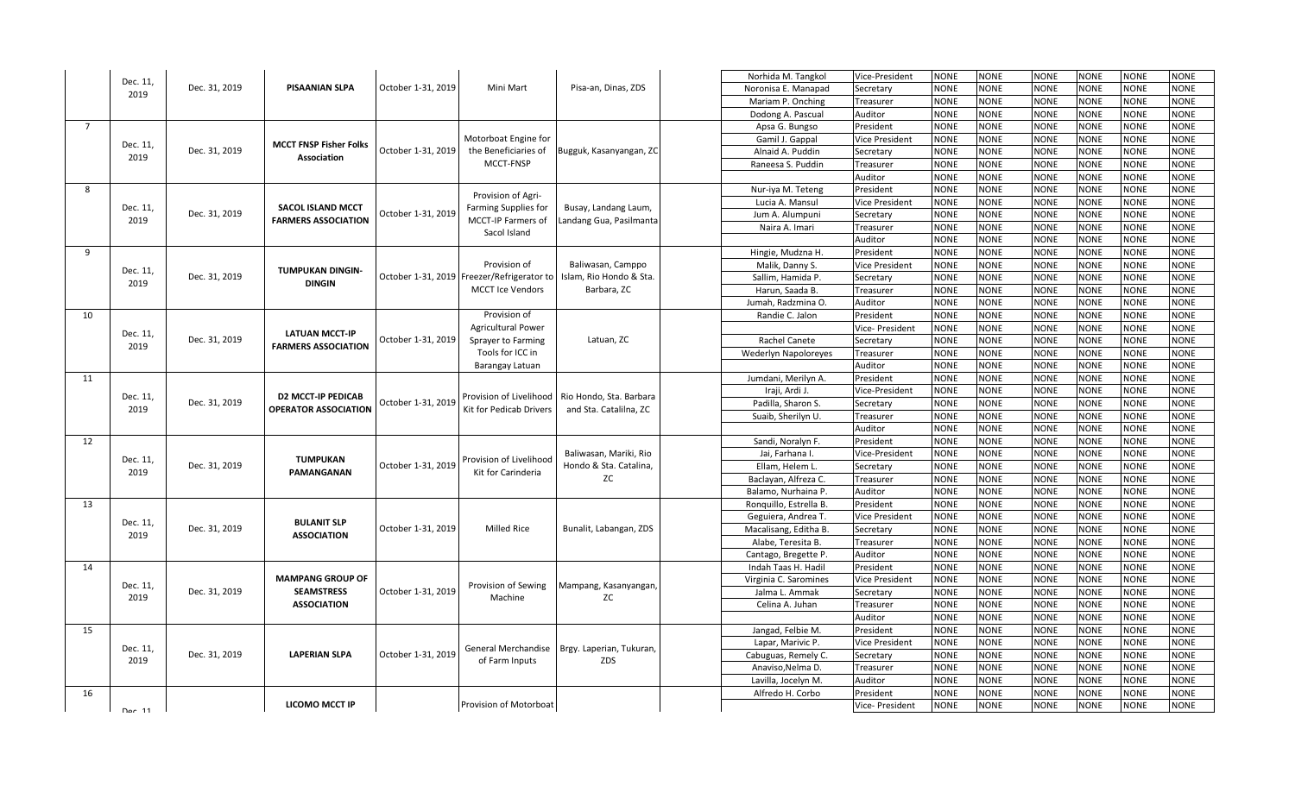|                | Dec. 11,       |               |                               |                    |                                                                       |                                        | Norhida M. Tangkol          | Vice-President                                                                                                                                                                                                                                                                                                                                                                                                                                                                      | NONE        | NONE        | <b>NONE</b> | <b>NONE</b> | <b>NONE</b>                                                                                                                                                                                                                                                                                                                                                                                                                                                                                                                                                                                                                                                                                                                                                                                                                                                                                                        | <b>NONE</b> |
|----------------|----------------|---------------|-------------------------------|--------------------|-----------------------------------------------------------------------|----------------------------------------|-----------------------------|-------------------------------------------------------------------------------------------------------------------------------------------------------------------------------------------------------------------------------------------------------------------------------------------------------------------------------------------------------------------------------------------------------------------------------------------------------------------------------------|-------------|-------------|-------------|-------------|--------------------------------------------------------------------------------------------------------------------------------------------------------------------------------------------------------------------------------------------------------------------------------------------------------------------------------------------------------------------------------------------------------------------------------------------------------------------------------------------------------------------------------------------------------------------------------------------------------------------------------------------------------------------------------------------------------------------------------------------------------------------------------------------------------------------------------------------------------------------------------------------------------------------|-------------|
|                | 2019           | Dec. 31, 2019 | <b>PISAANIAN SLPA</b>         | October 1-31, 2019 | Mini Mart                                                             | Pisa-an, Dinas, ZDS                    | Noronisa E. Manapad         | Secretary                                                                                                                                                                                                                                                                                                                                                                                                                                                                           | <b>NONE</b> | <b>NONE</b> | <b>NONE</b> | <b>NONE</b> | <b>NONE</b>                                                                                                                                                                                                                                                                                                                                                                                                                                                                                                                                                                                                                                                                                                                                                                                                                                                                                                        | <b>NONE</b> |
|                |                |               |                               |                    |                                                                       |                                        | Mariam P. Onching           | Treasurer                                                                                                                                                                                                                                                                                                                                                                                                                                                                           | <b>NONE</b> | <b>NONE</b> | <b>NONE</b> | <b>NONE</b> | <b>NONE</b>                                                                                                                                                                                                                                                                                                                                                                                                                                                                                                                                                                                                                                                                                                                                                                                                                                                                                                        | <b>NONE</b> |
|                |                |               |                               |                    |                                                                       |                                        | Dodong A. Pascual           | Auditor                                                                                                                                                                                                                                                                                                                                                                                                                                                                             | <b>NONE</b> | NONE        | <b>NONE</b> | <b>NONE</b> | <b>NONE</b>                                                                                                                                                                                                                                                                                                                                                                                                                                                                                                                                                                                                                                                                                                                                                                                                                                                                                                        | <b>NONE</b> |
| $\overline{7}$ |                |               |                               |                    |                                                                       |                                        | Apsa G. Bungso              | President                                                                                                                                                                                                                                                                                                                                                                                                                                                                           | <b>NONE</b> | <b>NONE</b> | <b>NONE</b> | <b>NONE</b> | <b>NONE</b>                                                                                                                                                                                                                                                                                                                                                                                                                                                                                                                                                                                                                                                                                                                                                                                                                                                                                                        | <b>NONE</b> |
|                | Dec. 11,       |               | <b>MCCT FNSP Fisher Folks</b> |                    | Motorboat Engine for                                                  |                                        | Gamil J. Gappal             | Vice President                                                                                                                                                                                                                                                                                                                                                                                                                                                                      | NONE        | NONE        | <b>NONE</b> | <b>NONE</b> | <b>NONE</b>                                                                                                                                                                                                                                                                                                                                                                                                                                                                                                                                                                                                                                                                                                                                                                                                                                                                                                        | <b>NONE</b> |
|                | 2019           | Dec. 31, 2019 | Association                   | October 1-31, 2019 | the Beneficiaries of                                                  | Bugguk, Kasanyangan, ZC                | Alnaid A. Puddin            | Secretary                                                                                                                                                                                                                                                                                                                                                                                                                                                                           | <b>NONE</b> | <b>NONE</b> | <b>NONE</b> | <b>NONE</b> | <b>NONE</b><br><b>NONE</b><br><b>NONE</b><br><b>NONE</b><br><b>NONE</b><br><b>NONE</b><br><b>NONE</b><br><b>NONE</b><br><b>NONE</b><br><b>NONE</b><br><b>NONE</b><br><b>NONE</b><br><b>NONE</b><br>NONE<br><b>NONE</b><br><b>NONE</b><br><b>NONE</b><br><b>NONE</b><br><b>NONE</b><br><b>NONE</b><br><b>NONE</b><br><b>NONE</b><br><b>NONE</b><br><b>NONE</b><br><b>NONE</b><br><b>NONE</b><br><b>NONE</b><br><b>NONE</b><br><b>NONE</b><br><b>NONE</b><br><b>NONE</b><br>NONE<br><b>NONE</b><br><b>NONE</b><br><b>NONE</b><br><b>NONE</b><br><b>NONE</b><br><b>NONE</b><br><b>NONE</b><br><b>NONE</b><br><b>NONE</b><br><b>NONE</b><br><b>NONE</b><br><b>NONE</b><br><b>NONE</b><br><b>NONE</b><br><b>NONE</b><br><b>NONE</b><br><b>NONE</b><br><b>NONE</b><br><b>NONE</b><br><b>NONE</b><br><b>NONE</b><br><b>NONE</b><br><b>NONE</b><br><b>NONE</b><br><b>NONE</b><br><b>NONE</b><br><b>NONE</b><br><b>NONE</b> |             |
|                |                |               |                               |                    | MCCT-FNSP                                                             |                                        | Raneesa S. Puddin           | Treasurer                                                                                                                                                                                                                                                                                                                                                                                                                                                                           | <b>NONE</b> | <b>NONE</b> | <b>NONE</b> | <b>NONE</b> |                                                                                                                                                                                                                                                                                                                                                                                                                                                                                                                                                                                                                                                                                                                                                                                                                                                                                                                    |             |
|                |                |               |                               |                    |                                                                       |                                        |                             | Auditor                                                                                                                                                                                                                                                                                                                                                                                                                                                                             | <b>NONE</b> | <b>NONE</b> | <b>NONE</b> | <b>NONE</b> |                                                                                                                                                                                                                                                                                                                                                                                                                                                                                                                                                                                                                                                                                                                                                                                                                                                                                                                    |             |
| 8              |                |               |                               |                    | Provision of Agri-                                                    |                                        | Nur-iya M. Teteng           | President                                                                                                                                                                                                                                                                                                                                                                                                                                                                           | <b>NONE</b> | <b>NONE</b> | <b>NONE</b> | <b>NONE</b> |                                                                                                                                                                                                                                                                                                                                                                                                                                                                                                                                                                                                                                                                                                                                                                                                                                                                                                                    |             |
|                | Dec. 11,       |               | <b>SACOL ISLAND MCCT</b>      |                    |                                                                       |                                        | Lucia A. Mansul             | <b>Vice President</b>                                                                                                                                                                                                                                                                                                                                                                                                                                                               | <b>NONE</b> | <b>NONE</b> | <b>NONE</b> | <b>NONE</b> |                                                                                                                                                                                                                                                                                                                                                                                                                                                                                                                                                                                                                                                                                                                                                                                                                                                                                                                    |             |
|                | 2019           | Dec. 31, 2019 | <b>FARMERS ASSOCIATION</b>    | October 1-31, 2019 | Farming Supplies for<br>MCCT-IP Farmers of                            | Busay, Landang Laum,                   | Jum A. Alumpuni             | Secretary                                                                                                                                                                                                                                                                                                                                                                                                                                                                           | <b>NONE</b> | <b>NONE</b> | <b>NONE</b> | <b>NONE</b> |                                                                                                                                                                                                                                                                                                                                                                                                                                                                                                                                                                                                                                                                                                                                                                                                                                                                                                                    |             |
|                |                |               |                               |                    | Sacol Island                                                          | Landang Gua, Pasilmanta                | Naira A. Imari              | Treasurer                                                                                                                                                                                                                                                                                                                                                                                                                                                                           | <b>NONE</b> | NONE        | <b>NONE</b> | <b>NONE</b> |                                                                                                                                                                                                                                                                                                                                                                                                                                                                                                                                                                                                                                                                                                                                                                                                                                                                                                                    |             |
|                |                |               |                               |                    |                                                                       |                                        |                             | Auditor                                                                                                                                                                                                                                                                                                                                                                                                                                                                             | <b>NONE</b> | <b>NONE</b> | <b>NONE</b> | <b>NONE</b> |                                                                                                                                                                                                                                                                                                                                                                                                                                                                                                                                                                                                                                                                                                                                                                                                                                                                                                                    |             |
| 9              |                |               |                               |                    |                                                                       |                                        | Hingie, Mudzna H.           | President                                                                                                                                                                                                                                                                                                                                                                                                                                                                           | <b>NONE</b> | <b>NONE</b> | <b>NONE</b> | <b>NONE</b> |                                                                                                                                                                                                                                                                                                                                                                                                                                                                                                                                                                                                                                                                                                                                                                                                                                                                                                                    |             |
|                | Dec. 11,       |               | <b>TUMPUKAN DINGIN-</b>       |                    | Provision of                                                          | Baliwasan, Camppo                      | Malik, Danny S.             | <b>Vice President</b>                                                                                                                                                                                                                                                                                                                                                                                                                                                               | <b>NONE</b> | <b>NONE</b> | <b>NONE</b> | <b>NONE</b> |                                                                                                                                                                                                                                                                                                                                                                                                                                                                                                                                                                                                                                                                                                                                                                                                                                                                                                                    |             |
|                | 2019           | Dec. 31, 2019 | <b>DINGIN</b>                 |                    | October 1-31, 2019 Freezer/Refrigerator to<br><b>MCCT Ice Vendors</b> | Islam, Rio Hondo & Sta.<br>Barbara, ZC | Sallim, Hamida P.           | Secretary                                                                                                                                                                                                                                                                                                                                                                                                                                                                           | <b>NONE</b> | <b>NONE</b> | <b>NONE</b> | <b>NONE</b> |                                                                                                                                                                                                                                                                                                                                                                                                                                                                                                                                                                                                                                                                                                                                                                                                                                                                                                                    |             |
|                |                |               |                               |                    |                                                                       |                                        | Harun, Saada B.             | Treasurer                                                                                                                                                                                                                                                                                                                                                                                                                                                                           | <b>NONE</b> | <b>NONE</b> | <b>NONE</b> | <b>NONE</b> |                                                                                                                                                                                                                                                                                                                                                                                                                                                                                                                                                                                                                                                                                                                                                                                                                                                                                                                    |             |
|                |                |               |                               |                    |                                                                       |                                        | Jumah, Radzmina O.          | Auditor                                                                                                                                                                                                                                                                                                                                                                                                                                                                             | <b>NONE</b> | NONE        | <b>NONE</b> | <b>NONE</b> |                                                                                                                                                                                                                                                                                                                                                                                                                                                                                                                                                                                                                                                                                                                                                                                                                                                                                                                    |             |
| 10             |                |               |                               |                    | Provision of                                                          |                                        | Randie C. Jalon             | President                                                                                                                                                                                                                                                                                                                                                                                                                                                                           | <b>NONE</b> | <b>NONE</b> | <b>NONE</b> | <b>NONE</b> |                                                                                                                                                                                                                                                                                                                                                                                                                                                                                                                                                                                                                                                                                                                                                                                                                                                                                                                    |             |
|                | Dec. 11,       |               | <b>LATUAN MCCT-IP</b>         |                    | <b>Agricultural Power</b>                                             |                                        |                             | Vice- President                                                                                                                                                                                                                                                                                                                                                                                                                                                                     | <b>NONE</b> | <b>NONE</b> | <b>NONE</b> | <b>NONE</b> |                                                                                                                                                                                                                                                                                                                                                                                                                                                                                                                                                                                                                                                                                                                                                                                                                                                                                                                    |             |
|                | 2019           | Dec. 31, 2019 | <b>FARMERS ASSOCIATION</b>    | October 1-31, 2019 | Sprayer to Farming                                                    | Latuan, ZC                             | Rachel Canete               | Secretary                                                                                                                                                                                                                                                                                                                                                                                                                                                                           | <b>NONE</b> | <b>NONE</b> | <b>NONE</b> | <b>NONE</b> |                                                                                                                                                                                                                                                                                                                                                                                                                                                                                                                                                                                                                                                                                                                                                                                                                                                                                                                    |             |
|                |                |               |                               |                    | Tools for ICC in                                                      |                                        | <b>Wederlyn Napoloreyes</b> | Treasurer                                                                                                                                                                                                                                                                                                                                                                                                                                                                           | <b>NONE</b> | <b>NONE</b> | <b>NONE</b> | <b>NONE</b> |                                                                                                                                                                                                                                                                                                                                                                                                                                                                                                                                                                                                                                                                                                                                                                                                                                                                                                                    |             |
|                |                |               |                               |                    | <b>Barangay Latuan</b>                                                |                                        |                             | Auditor                                                                                                                                                                                                                                                                                                                                                                                                                                                                             | <b>NONE</b> | NONE        | <b>NONE</b> | <b>NONE</b> |                                                                                                                                                                                                                                                                                                                                                                                                                                                                                                                                                                                                                                                                                                                                                                                                                                                                                                                    |             |
| 11             |                |               |                               |                    |                                                                       | President<br>Jumdani, Merilyn A.       | <b>NONE</b>                 | <b>NONE</b>                                                                                                                                                                                                                                                                                                                                                                                                                                                                         | <b>NONE</b> | <b>NONE</b> |             |             |                                                                                                                                                                                                                                                                                                                                                                                                                                                                                                                                                                                                                                                                                                                                                                                                                                                                                                                    |             |
|                | Dec. 11,       |               | <b>D2 MCCT-IP PEDICAB</b>     |                    | Provision of Livelihood                                               | Rio Hondo, Sta. Barbara                | Iraji, Ardi J.              | Vice-President                                                                                                                                                                                                                                                                                                                                                                                                                                                                      | <b>NONE</b> | <b>NONE</b> | <b>NONE</b> | <b>NONE</b> |                                                                                                                                                                                                                                                                                                                                                                                                                                                                                                                                                                                                                                                                                                                                                                                                                                                                                                                    |             |
|                | 2019           | Dec. 31, 2019 | <b>OPERATOR ASSOCIATION</b>   | October 1-31, 2019 | Kit for Pedicab Drivers                                               | and Sta. Catalilna, ZC                 | Padilla, Sharon S.          | Secretary                                                                                                                                                                                                                                                                                                                                                                                                                                                                           | <b>NONE</b> | <b>NONE</b> | <b>NONE</b> | <b>NONE</b> |                                                                                                                                                                                                                                                                                                                                                                                                                                                                                                                                                                                                                                                                                                                                                                                                                                                                                                                    |             |
|                |                |               |                               |                    |                                                                       |                                        | Suaib, Sherilyn U.          | Treasurer                                                                                                                                                                                                                                                                                                                                                                                                                                                                           | <b>NONE</b> | NONE        | <b>NONE</b> | <b>NONE</b> |                                                                                                                                                                                                                                                                                                                                                                                                                                                                                                                                                                                                                                                                                                                                                                                                                                                                                                                    |             |
|                |                |               |                               |                    |                                                                       |                                        |                             |                                                                                                                                                                                                                                                                                                                                                                                                                                                                                     |             |             | <b>NONE</b> | <b>NONE</b> |                                                                                                                                                                                                                                                                                                                                                                                                                                                                                                                                                                                                                                                                                                                                                                                                                                                                                                                    |             |
| 12             |                |               |                               |                    |                                                                       |                                        | Sandi, Noralyn F.           |                                                                                                                                                                                                                                                                                                                                                                                                                                                                                     |             |             | <b>NONE</b> | <b>NONE</b> |                                                                                                                                                                                                                                                                                                                                                                                                                                                                                                                                                                                                                                                                                                                                                                                                                                                                                                                    |             |
|                | Dec. 11,       |               | <b>TUMPUKAN</b>               |                    | Provision of Livelihood                                               | Baliwasan, Mariki, Rio                 | Jai, Farhana I.             |                                                                                                                                                                                                                                                                                                                                                                                                                                                                                     |             |             | <b>NONE</b> | <b>NONE</b> |                                                                                                                                                                                                                                                                                                                                                                                                                                                                                                                                                                                                                                                                                                                                                                                                                                                                                                                    |             |
|                | 2019           | Dec. 31, 2019 | PAMANGANAN                    | October 1-31, 2019 | Kit for Carinderia                                                    | Hondo & Sta. Catalina,                 | Ellam, Helem L.             |                                                                                                                                                                                                                                                                                                                                                                                                                                                                                     |             |             | <b>NONE</b> | <b>NONE</b> |                                                                                                                                                                                                                                                                                                                                                                                                                                                                                                                                                                                                                                                                                                                                                                                                                                                                                                                    |             |
|                |                |               |                               |                    |                                                                       | ZC                                     | Baclayan, Alfreza C.        |                                                                                                                                                                                                                                                                                                                                                                                                                                                                                     |             |             | <b>NONE</b> | <b>NONE</b> |                                                                                                                                                                                                                                                                                                                                                                                                                                                                                                                                                                                                                                                                                                                                                                                                                                                                                                                    |             |
|                |                |               |                               |                    |                                                                       |                                        | Balamo, Nurhaina P.         |                                                                                                                                                                                                                                                                                                                                                                                                                                                                                     |             |             | <b>NONE</b> | <b>NONE</b> |                                                                                                                                                                                                                                                                                                                                                                                                                                                                                                                                                                                                                                                                                                                                                                                                                                                                                                                    |             |
| 13             |                |               |                               |                    |                                                                       |                                        | Ronquillo, Estrella B.      |                                                                                                                                                                                                                                                                                                                                                                                                                                                                                     |             |             | <b>NONE</b> | <b>NONE</b> |                                                                                                                                                                                                                                                                                                                                                                                                                                                                                                                                                                                                                                                                                                                                                                                                                                                                                                                    |             |
|                | Dec. 11,       |               | <b>BULANIT SLP</b>            |                    |                                                                       |                                        | Geguiera, Andrea T.         |                                                                                                                                                                                                                                                                                                                                                                                                                                                                                     |             |             | <b>NONE</b> | <b>NONE</b> |                                                                                                                                                                                                                                                                                                                                                                                                                                                                                                                                                                                                                                                                                                                                                                                                                                                                                                                    |             |
|                | 2019           | Dec. 31, 2019 | <b>ASSOCIATION</b>            | October 1-31, 2019 | <b>Milled Rice</b>                                                    | Bunalit, Labangan, ZDS                 | Macalisang, Editha B.       | <b>NONE</b><br>Auditor<br><b>NONE</b><br><b>NONE</b><br><b>NONE</b><br>President<br><b>NONE</b><br><b>NONE</b><br>Vice-President<br><b>NONE</b><br><b>VONE</b><br>Secretary<br><b>NONE</b><br><b>NONE</b><br>Treasurer<br>Auditor<br><b>NONE</b><br>NONE<br><b>NONE</b><br><b>NONE</b><br>President<br><b>NONE</b><br>Vice President<br>NONE<br>Secretary<br>NONE<br>NONE<br>Treasurer<br><b>NONE</b><br>NONE<br>NONE<br>NONE<br>Auditor<br><b>NONE</b><br><b>NONE</b><br>President |             | <b>NONE</b> | <b>NONE</b> | <b>NONE</b> | <b>NONE</b>                                                                                                                                                                                                                                                                                                                                                                                                                                                                                                                                                                                                                                                                                                                                                                                                                                                                                                        |             |
|                |                |               |                               |                    |                                                                       |                                        | Alabe, Teresita B.          |                                                                                                                                                                                                                                                                                                                                                                                                                                                                                     |             |             | <b>NONE</b> | <b>NONE</b> | <b>NONE</b>                                                                                                                                                                                                                                                                                                                                                                                                                                                                                                                                                                                                                                                                                                                                                                                                                                                                                                        | <b>NONE</b> |
|                |                |               |                               |                    |                                                                       |                                        | Cantago, Bregette P.        |                                                                                                                                                                                                                                                                                                                                                                                                                                                                                     |             |             | <b>NONE</b> | <b>NONE</b> | <b>NONE</b>                                                                                                                                                                                                                                                                                                                                                                                                                                                                                                                                                                                                                                                                                                                                                                                                                                                                                                        | <b>NONE</b> |
| 14             |                |               |                               |                    |                                                                       |                                        | Indah Taas H. Hadil         |                                                                                                                                                                                                                                                                                                                                                                                                                                                                                     |             |             | <b>NONE</b> | <b>NONE</b> | <b>NONE</b>                                                                                                                                                                                                                                                                                                                                                                                                                                                                                                                                                                                                                                                                                                                                                                                                                                                                                                        | <b>NONE</b> |
|                | Dec. 11,       |               | <b>MAMPANG GROUP OF</b>       |                    | Provision of Sewing                                                   | Mampang, Kasanyangan,                  | Virginia C. Saromines       | Vice President                                                                                                                                                                                                                                                                                                                                                                                                                                                                      | <b>NONE</b> | <b>NONE</b> | <b>NONE</b> | <b>NONE</b> | <b>NONE</b>                                                                                                                                                                                                                                                                                                                                                                                                                                                                                                                                                                                                                                                                                                                                                                                                                                                                                                        | <b>NONE</b> |
|                | 2019           | Dec. 31, 2019 | <b>SEAMSTRESS</b>             | October 1-31, 2019 | Machine                                                               | ZC                                     | Jalma L. Ammak              | Secretary                                                                                                                                                                                                                                                                                                                                                                                                                                                                           | <b>NONE</b> | <b>NONE</b> | <b>NONE</b> | <b>NONE</b> | <b>NONE</b>                                                                                                                                                                                                                                                                                                                                                                                                                                                                                                                                                                                                                                                                                                                                                                                                                                                                                                        | <b>NONE</b> |
|                |                |               | <b>ASSOCIATION</b>            |                    |                                                                       |                                        | Celina A. Juhan             | Treasurer                                                                                                                                                                                                                                                                                                                                                                                                                                                                           | NONE        | <b>NONE</b> | <b>NONE</b> | <b>NONE</b> | <b>NONE</b>                                                                                                                                                                                                                                                                                                                                                                                                                                                                                                                                                                                                                                                                                                                                                                                                                                                                                                        | <b>NONE</b> |
|                |                |               |                               |                    |                                                                       |                                        |                             | Auditor                                                                                                                                                                                                                                                                                                                                                                                                                                                                             | <b>NONE</b> | <b>NONE</b> | <b>NONE</b> | <b>NONE</b> | <b>NONE</b>                                                                                                                                                                                                                                                                                                                                                                                                                                                                                                                                                                                                                                                                                                                                                                                                                                                                                                        | <b>NONE</b> |
| 15             |                |               |                               |                    |                                                                       |                                        | Jangad, Felbie M.           | President                                                                                                                                                                                                                                                                                                                                                                                                                                                                           | <b>NONE</b> | <b>NONE</b> | <b>NONE</b> | <b>NONE</b> | <b>NONE</b>                                                                                                                                                                                                                                                                                                                                                                                                                                                                                                                                                                                                                                                                                                                                                                                                                                                                                                        | <b>NONE</b> |
|                | Dec. 11,       |               |                               |                    | General Merchandise                                                   | Brgy. Laperian, Tukuran,               | Lapar, Marivic P.           | <b>Vice President</b>                                                                                                                                                                                                                                                                                                                                                                                                                                                               | <b>NONE</b> | <b>NONE</b> | <b>NONE</b> | <b>NONE</b> | <b>NONE</b>                                                                                                                                                                                                                                                                                                                                                                                                                                                                                                                                                                                                                                                                                                                                                                                                                                                                                                        | <b>NONE</b> |
|                | 2019           | Dec. 31, 2019 | <b>LAPERIAN SLPA</b>          | October 1-31, 2019 | of Farm Inputs                                                        | ZDS                                    | Cabuguas, Remely C.         | Secretary                                                                                                                                                                                                                                                                                                                                                                                                                                                                           | <b>NONE</b> | <b>NONE</b> | <b>NONE</b> | <b>NONE</b> | <b>NONE</b>                                                                                                                                                                                                                                                                                                                                                                                                                                                                                                                                                                                                                                                                                                                                                                                                                                                                                                        | <b>NONE</b> |
|                |                |               |                               |                    |                                                                       |                                        | Anaviso, Nelma D.           | Treasurer                                                                                                                                                                                                                                                                                                                                                                                                                                                                           | <b>NONE</b> | <b>NONE</b> | <b>NONE</b> | <b>NONE</b> | <b>NONE</b>                                                                                                                                                                                                                                                                                                                                                                                                                                                                                                                                                                                                                                                                                                                                                                                                                                                                                                        | NONE        |
|                |                |               |                               |                    |                                                                       |                                        | Lavilla, Jocelyn M.         | Auditor                                                                                                                                                                                                                                                                                                                                                                                                                                                                             | NONE        | NONE        | <b>NONE</b> | <b>NONE</b> | <b>NONE</b>                                                                                                                                                                                                                                                                                                                                                                                                                                                                                                                                                                                                                                                                                                                                                                                                                                                                                                        | <b>NONE</b> |
| 16             |                |               |                               |                    |                                                                       |                                        | Alfredo H. Corbo            | President                                                                                                                                                                                                                                                                                                                                                                                                                                                                           | <b>NONE</b> | NONE        | <b>NONE</b> | <b>NONE</b> | <b>NONE</b>                                                                                                                                                                                                                                                                                                                                                                                                                                                                                                                                                                                                                                                                                                                                                                                                                                                                                                        | <b>NONE</b> |
|                | $\Delta$ er 11 |               | LICOMO MCCT IP                |                    | Provision of Motorboat                                                |                                        |                             | Vice- President                                                                                                                                                                                                                                                                                                                                                                                                                                                                     | <b>NONE</b> | <b>NONE</b> | <b>NONE</b> | <b>NONE</b> | <b>NONE</b>                                                                                                                                                                                                                                                                                                                                                                                                                                                                                                                                                                                                                                                                                                                                                                                                                                                                                                        | <b>NONE</b> |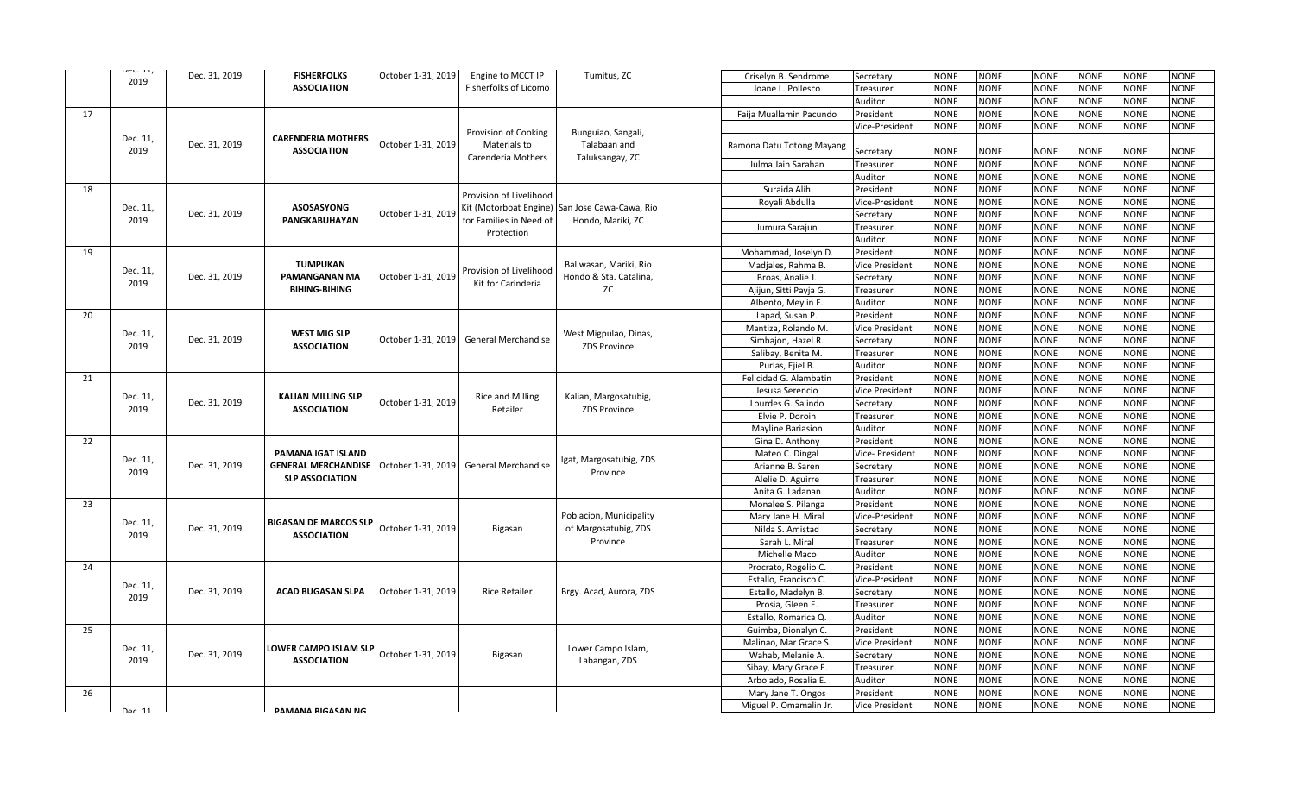| $UCU$ . 11,      | Dec. 31, 2019 | <b>FISHERFOLKS</b>           | October 1-31, 2019 | Engine to MCCT IP                             | Tumitus, ZC                                            | Criselyn B. Sendrome      | Secretary             | <b>NONE</b>                                                                                                                                                                                                                                                                                                                                                                                                                                                                                                                                                                                                                                                                                                                                                                                                                                                                                                                                                                                                                                                                                                                                                                                                                                                                                                                                                                                                                                                                                                                                                                                                                                                                                                                                                                                                                                                                                                                                                                                                                                                                                                                                                  | <b>NONE</b> | <b>NONE</b> | <b>NONE</b> | <b>NONE</b> | <b>NONE</b> |
|------------------|---------------|------------------------------|--------------------|-----------------------------------------------|--------------------------------------------------------|---------------------------|-----------------------|--------------------------------------------------------------------------------------------------------------------------------------------------------------------------------------------------------------------------------------------------------------------------------------------------------------------------------------------------------------------------------------------------------------------------------------------------------------------------------------------------------------------------------------------------------------------------------------------------------------------------------------------------------------------------------------------------------------------------------------------------------------------------------------------------------------------------------------------------------------------------------------------------------------------------------------------------------------------------------------------------------------------------------------------------------------------------------------------------------------------------------------------------------------------------------------------------------------------------------------------------------------------------------------------------------------------------------------------------------------------------------------------------------------------------------------------------------------------------------------------------------------------------------------------------------------------------------------------------------------------------------------------------------------------------------------------------------------------------------------------------------------------------------------------------------------------------------------------------------------------------------------------------------------------------------------------------------------------------------------------------------------------------------------------------------------------------------------------------------------------------------------------------------------|-------------|-------------|-------------|-------------|-------------|
| 2019             |               | <b>ASSOCIATION</b>           |                    | Fisherfolks of Licomo                         |                                                        |                           |                       | <b>NONE</b>                                                                                                                                                                                                                                                                                                                                                                                                                                                                                                                                                                                                                                                                                                                                                                                                                                                                                                                                                                                                                                                                                                                                                                                                                                                                                                                                                                                                                                                                                                                                                                                                                                                                                                                                                                                                                                                                                                                                                                                                                                                                                                                                                  | <b>NONE</b> | <b>NONE</b> | <b>NONE</b> | <b>NONE</b> | <b>NONE</b> |
|                  |               |                              |                    |                                               |                                                        | Joane L. Pollesco         | Treasurer             |                                                                                                                                                                                                                                                                                                                                                                                                                                                                                                                                                                                                                                                                                                                                                                                                                                                                                                                                                                                                                                                                                                                                                                                                                                                                                                                                                                                                                                                                                                                                                                                                                                                                                                                                                                                                                                                                                                                                                                                                                                                                                                                                                              |             |             |             |             |             |
|                  |               |                              |                    |                                               |                                                        |                           | Auditor               | <b>NONE</b>                                                                                                                                                                                                                                                                                                                                                                                                                                                                                                                                                                                                                                                                                                                                                                                                                                                                                                                                                                                                                                                                                                                                                                                                                                                                                                                                                                                                                                                                                                                                                                                                                                                                                                                                                                                                                                                                                                                                                                                                                                                                                                                                                  | <b>NONE</b> | NONE        | <b>NONE</b> | <b>NONE</b> | NONE        |
| 17               |               |                              |                    |                                               |                                                        | Faija Muallamin Pacundo   | President             |                                                                                                                                                                                                                                                                                                                                                                                                                                                                                                                                                                                                                                                                                                                                                                                                                                                                                                                                                                                                                                                                                                                                                                                                                                                                                                                                                                                                                                                                                                                                                                                                                                                                                                                                                                                                                                                                                                                                                                                                                                                                                                                                                              |             |             |             |             | <b>NONE</b> |
|                  |               |                              |                    | Provision of Cooking                          | Bunguiao, Sangali,                                     |                           | Vice-President        |                                                                                                                                                                                                                                                                                                                                                                                                                                                                                                                                                                                                                                                                                                                                                                                                                                                                                                                                                                                                                                                                                                                                                                                                                                                                                                                                                                                                                                                                                                                                                                                                                                                                                                                                                                                                                                                                                                                                                                                                                                                                                                                                                              |             |             |             |             | <b>NONE</b> |
| Dec. 11,         | Dec. 31, 2019 | <b>CARENDERIA MOTHERS</b>    | October 1-31, 2019 | Materials to                                  | Talabaan and                                           | Ramona Datu Totong Mayang |                       |                                                                                                                                                                                                                                                                                                                                                                                                                                                                                                                                                                                                                                                                                                                                                                                                                                                                                                                                                                                                                                                                                                                                                                                                                                                                                                                                                                                                                                                                                                                                                                                                                                                                                                                                                                                                                                                                                                                                                                                                                                                                                                                                                              |             |             |             |             |             |
| 2019             |               | <b>ASSOCIATION</b>           |                    | Carenderia Mothers                            | Taluksangay, ZC                                        |                           | Secretary             |                                                                                                                                                                                                                                                                                                                                                                                                                                                                                                                                                                                                                                                                                                                                                                                                                                                                                                                                                                                                                                                                                                                                                                                                                                                                                                                                                                                                                                                                                                                                                                                                                                                                                                                                                                                                                                                                                                                                                                                                                                                                                                                                                              |             |             |             |             | <b>NONE</b> |
|                  |               |                              |                    |                                               |                                                        | Julma Jain Sarahan        | Treasurer             |                                                                                                                                                                                                                                                                                                                                                                                                                                                                                                                                                                                                                                                                                                                                                                                                                                                                                                                                                                                                                                                                                                                                                                                                                                                                                                                                                                                                                                                                                                                                                                                                                                                                                                                                                                                                                                                                                                                                                                                                                                                                                                                                                              |             |             |             |             | <b>NONE</b> |
|                  |               |                              |                    |                                               |                                                        |                           | Auditor               | <b>NONE</b>                                                                                                                                                                                                                                                                                                                                                                                                                                                                                                                                                                                                                                                                                                                                                                                                                                                                                                                                                                                                                                                                                                                                                                                                                                                                                                                                                                                                                                                                                                                                                                                                                                                                                                                                                                                                                                                                                                                                                                                                                                                                                                                                                  | <b>NONE</b> |             |             |             | <b>NONE</b> |
| 18               |               |                              |                    | Provision of Livelihood                       |                                                        | Suraida Alih              | President             | <b>NONE</b>                                                                                                                                                                                                                                                                                                                                                                                                                                                                                                                                                                                                                                                                                                                                                                                                                                                                                                                                                                                                                                                                                                                                                                                                                                                                                                                                                                                                                                                                                                                                                                                                                                                                                                                                                                                                                                                                                                                                                                                                                                                                                                                                                  | <b>NONE</b> | <b>NONE</b> | <b>NONE</b> | <b>NONE</b> | <b>NONE</b> |
| Dec. 11,         |               | <b>ASOSASYONG</b>            |                    | Kit (Motorboat Engine)                        | San Jose Cawa-Cawa, Rio                                | Royali Abdulla            | Vice-President        | <b>NONE</b>                                                                                                                                                                                                                                                                                                                                                                                                                                                                                                                                                                                                                                                                                                                                                                                                                                                                                                                                                                                                                                                                                                                                                                                                                                                                                                                                                                                                                                                                                                                                                                                                                                                                                                                                                                                                                                                                                                                                                                                                                                                                                                                                                  | <b>NONE</b> | <b>NONE</b> | <b>NONE</b> | <b>NONE</b> | <b>NONE</b> |
| 2019             | Dec. 31, 2019 | PANGKABUHAYAN                | October 1-31, 2019 | for Families in Need of                       |                                                        |                           | Secretary             | <b>NONE</b>                                                                                                                                                                                                                                                                                                                                                                                                                                                                                                                                                                                                                                                                                                                                                                                                                                                                                                                                                                                                                                                                                                                                                                                                                                                                                                                                                                                                                                                                                                                                                                                                                                                                                                                                                                                                                                                                                                                                                                                                                                                                                                                                                  | <b>NONE</b> | <b>NONE</b> | <b>NONE</b> | <b>NONE</b> | <b>NONE</b> |
|                  |               |                              |                    |                                               | Hondo, Mariki, ZC                                      | Jumura Sarajun            | Treasurer             | <b>NONE</b>                                                                                                                                                                                                                                                                                                                                                                                                                                                                                                                                                                                                                                                                                                                                                                                                                                                                                                                                                                                                                                                                                                                                                                                                                                                                                                                                                                                                                                                                                                                                                                                                                                                                                                                                                                                                                                                                                                                                                                                                                                                                                                                                                  | <b>NONE</b> |             | <b>NONE</b> |             | <b>NONE</b> |
|                  |               |                              |                    | Protection                                    |                                                        |                           | Auditor               | <b>NONE</b>                                                                                                                                                                                                                                                                                                                                                                                                                                                                                                                                                                                                                                                                                                                                                                                                                                                                                                                                                                                                                                                                                                                                                                                                                                                                                                                                                                                                                                                                                                                                                                                                                                                                                                                                                                                                                                                                                                                                                                                                                                                                                                                                                  | <b>NONE</b> | <b>NONE</b> | <b>NONE</b> | <b>NONE</b> | <b>NONE</b> |
| 19               |               |                              |                    |                                               |                                                        | Mohammad, Joselyn D       | President             | <b>NONE</b>                                                                                                                                                                                                                                                                                                                                                                                                                                                                                                                                                                                                                                                                                                                                                                                                                                                                                                                                                                                                                                                                                                                                                                                                                                                                                                                                                                                                                                                                                                                                                                                                                                                                                                                                                                                                                                                                                                                                                                                                                                                                                                                                                  | <b>NONE</b> | <b>NONE</b> | <b>NONE</b> |             | NONE        |
|                  |               | <b>TUMPUKAN</b>              |                    | Provision of Livelihood<br>Kit for Carinderia | Baliwasan, Mariki, Rio<br>Hondo & Sta. Catalina,<br>ZC | Madjales, Rahma B.        | <b>Vice President</b> |                                                                                                                                                                                                                                                                                                                                                                                                                                                                                                                                                                                                                                                                                                                                                                                                                                                                                                                                                                                                                                                                                                                                                                                                                                                                                                                                                                                                                                                                                                                                                                                                                                                                                                                                                                                                                                                                                                                                                                                                                                                                                                                                                              |             |             |             |             | <b>NONE</b> |
| Dec. 11,         | Dec. 31, 2019 | PAMANGANAN MA                | October 1-31, 2019 |                                               |                                                        | Broas, Analie J.          | Secretary             |                                                                                                                                                                                                                                                                                                                                                                                                                                                                                                                                                                                                                                                                                                                                                                                                                                                                                                                                                                                                                                                                                                                                                                                                                                                                                                                                                                                                                                                                                                                                                                                                                                                                                                                                                                                                                                                                                                                                                                                                                                                                                                                                                              |             |             |             |             | <b>NONE</b> |
| 2019             |               | <b>BIHING-BIHING</b>         |                    |                                               |                                                        | Ajijun, Sitti Payja G.    | Treasurer             |                                                                                                                                                                                                                                                                                                                                                                                                                                                                                                                                                                                                                                                                                                                                                                                                                                                                                                                                                                                                                                                                                                                                                                                                                                                                                                                                                                                                                                                                                                                                                                                                                                                                                                                                                                                                                                                                                                                                                                                                                                                                                                                                                              |             |             |             |             | <b>NONE</b> |
|                  |               |                              |                    |                                               |                                                        | Albento, Meylin E.        | Auditor               |                                                                                                                                                                                                                                                                                                                                                                                                                                                                                                                                                                                                                                                                                                                                                                                                                                                                                                                                                                                                                                                                                                                                                                                                                                                                                                                                                                                                                                                                                                                                                                                                                                                                                                                                                                                                                                                                                                                                                                                                                                                                                                                                                              |             |             |             |             | <b>NONE</b> |
| 20               |               |                              |                    |                                               |                                                        | Lapad, Susan P.           | President             |                                                                                                                                                                                                                                                                                                                                                                                                                                                                                                                                                                                                                                                                                                                                                                                                                                                                                                                                                                                                                                                                                                                                                                                                                                                                                                                                                                                                                                                                                                                                                                                                                                                                                                                                                                                                                                                                                                                                                                                                                                                                                                                                                              |             |             |             |             | <b>NONE</b> |
|                  |               |                              |                    |                                               |                                                        | Mantiza, Rolando M        | <b>Vice President</b> |                                                                                                                                                                                                                                                                                                                                                                                                                                                                                                                                                                                                                                                                                                                                                                                                                                                                                                                                                                                                                                                                                                                                                                                                                                                                                                                                                                                                                                                                                                                                                                                                                                                                                                                                                                                                                                                                                                                                                                                                                                                                                                                                                              |             |             |             |             | <b>NONE</b> |
| Dec. 11,<br>2019 | Dec. 31, 2019 | <b>WEST MIG SLP</b>          | October 1-31, 2019 | General Merchandise                           | West Migpulao, Dinas,                                  | Simbajon, Hazel R.        | Secretary             |                                                                                                                                                                                                                                                                                                                                                                                                                                                                                                                                                                                                                                                                                                                                                                                                                                                                                                                                                                                                                                                                                                                                                                                                                                                                                                                                                                                                                                                                                                                                                                                                                                                                                                                                                                                                                                                                                                                                                                                                                                                                                                                                                              |             |             |             |             | <b>NONE</b> |
|                  |               | <b>ASSOCIATION</b>           |                    |                                               | <b>ZDS Province</b>                                    | Salibay, Benita M.        | Treasurer             | <b>NONE</b><br><b>NONE</b><br><b>NONE</b><br><b>NONE</b><br><b>NONE</b><br><b>NONE</b><br><b>NONE</b><br><b>NONE</b><br><b>NONE</b><br><b>NONE</b><br><b>NONE</b><br><b>NONE</b><br><b>NONE</b><br><b>NONE</b><br><b>NONE</b><br><b>NONE</b><br><b>NONE</b><br><b>NONE</b><br><b>NONE</b><br><b>NONE</b><br><b>NONE</b><br><b>NONE</b><br><b>NONE</b><br><b>NONE</b><br><b>NONE</b><br><b>NONE</b><br><b>NONE</b><br><b>NONE</b><br><b>NONE</b><br><b>NONE</b><br><b>NONE</b><br><b>NONE</b><br><b>NONE</b><br><b>NONE</b><br><b>NONE</b><br>NONE<br><b>NONE</b><br><b>NONE</b><br><b>NONE</b><br><b>NONE</b><br><b>NONE</b><br><b>NONE</b><br><b>NONE</b><br><b>NONE</b><br><b>NONE</b><br><b>NONE</b><br><b>NONE</b><br><b>NONE</b><br><b>NONE</b><br><b>NONE</b><br><b>NONE</b><br><b>NONE</b><br><b>NONE</b><br><b>NONE</b><br>NONE<br><b>NONE</b><br><b>NONE</b><br><b>NONE</b><br><b>NONE</b><br><b>NONE</b><br><b>NONE</b><br><b>NONE</b><br><b>NONE</b><br><b>NONE</b><br><b>NONE</b><br>NONE<br><b>NONE</b><br><b>NONE</b><br><b>NONE</b><br><b>NONE</b><br><b>NONE</b><br><b>NONE</b><br><b>NONE</b><br><b>NONE</b><br><b>NONE</b><br><b>NONE</b><br><b>NONE</b><br><b>NONE</b><br><b>NONE</b><br><b>NONE</b><br><b>NONE</b><br><b>NONE</b><br><b>NONE</b><br><b>NONE</b><br><b>NONE</b><br><b>NONE</b><br><b>NONE</b><br><b>NONE</b><br><b>NONE</b><br><b>NONE</b><br><b>NONE</b><br><b>NONE</b><br><b>NONE</b><br><b>NONE</b><br><b>NONE</b><br><b>NONE</b><br><b>NONE</b><br><b>NONE</b><br>NONE<br><b>NONE</b><br><b>NONE</b><br><b>NONE</b><br><b>NONE</b><br><b>NONE</b><br><b>NONE</b><br><b>NONE</b><br><b>NONE</b><br><b>NONE</b><br><b>NONE</b><br><b>NONE</b><br><b>NONE</b><br><b>NONE</b><br><b>NONE</b><br><b>NONE</b><br><b>NONE</b><br><b>NONE</b><br><b>NONE</b><br><b>NONE</b><br><b>NONE</b><br><b>NONE</b><br><b>NONE</b><br><b>NONE</b><br><b>NONE</b><br><b>NONE</b><br><b>NONE</b><br><b>NONE</b><br><b>NONE</b><br><b>NONE</b><br><b>NONE</b><br><b>NONE</b><br><b>NONE</b><br><b>NONE</b><br><b>NONE</b><br><b>NONE</b><br><b>NONE</b><br><b>NONE</b><br><b>NONE</b><br><b>NONE</b><br><b>NONE</b><br>NONE<br><b>NONE</b> | <b>NONE</b> |             |             |             |             |
|                  |               |                              |                    |                                               |                                                        | Purlas, Ejiel B.          | Auditor               |                                                                                                                                                                                                                                                                                                                                                                                                                                                                                                                                                                                                                                                                                                                                                                                                                                                                                                                                                                                                                                                                                                                                                                                                                                                                                                                                                                                                                                                                                                                                                                                                                                                                                                                                                                                                                                                                                                                                                                                                                                                                                                                                                              |             |             |             |             | <b>NONE</b> |
| 21               |               |                              |                    |                                               |                                                        |                           |                       |                                                                                                                                                                                                                                                                                                                                                                                                                                                                                                                                                                                                                                                                                                                                                                                                                                                                                                                                                                                                                                                                                                                                                                                                                                                                                                                                                                                                                                                                                                                                                                                                                                                                                                                                                                                                                                                                                                                                                                                                                                                                                                                                                              |             |             |             |             | <b>NONE</b> |
|                  |               |                              |                    |                                               |                                                        | Felicidad G. Alambatin    | President             |                                                                                                                                                                                                                                                                                                                                                                                                                                                                                                                                                                                                                                                                                                                                                                                                                                                                                                                                                                                                                                                                                                                                                                                                                                                                                                                                                                                                                                                                                                                                                                                                                                                                                                                                                                                                                                                                                                                                                                                                                                                                                                                                                              |             |             |             |             |             |
| Dec. 11,<br>2019 |               | <b>KALIAN MILLING SLP</b>    |                    | <b>Rice and Milling</b>                       | Kalian, Margosatubig,                                  | Jesusa Serencio           | <b>Vice President</b> |                                                                                                                                                                                                                                                                                                                                                                                                                                                                                                                                                                                                                                                                                                                                                                                                                                                                                                                                                                                                                                                                                                                                                                                                                                                                                                                                                                                                                                                                                                                                                                                                                                                                                                                                                                                                                                                                                                                                                                                                                                                                                                                                                              |             |             |             |             | <b>NONE</b> |
|                  | Dec. 31, 2019 | <b>ASSOCIATION</b>           | October 1-31, 2019 | Retailer                                      | <b>ZDS Province</b>                                    | Lourdes G. Salindo        | Secretary             |                                                                                                                                                                                                                                                                                                                                                                                                                                                                                                                                                                                                                                                                                                                                                                                                                                                                                                                                                                                                                                                                                                                                                                                                                                                                                                                                                                                                                                                                                                                                                                                                                                                                                                                                                                                                                                                                                                                                                                                                                                                                                                                                                              |             |             |             |             | <b>NONE</b> |
|                  |               |                              |                    |                                               |                                                        | Elvie P. Doroin           | Treasurer             |                                                                                                                                                                                                                                                                                                                                                                                                                                                                                                                                                                                                                                                                                                                                                                                                                                                                                                                                                                                                                                                                                                                                                                                                                                                                                                                                                                                                                                                                                                                                                                                                                                                                                                                                                                                                                                                                                                                                                                                                                                                                                                                                                              |             |             |             |             | <b>NONE</b> |
|                  |               |                              |                    |                                               |                                                        | Mayline Bariasion         | Auditor               |                                                                                                                                                                                                                                                                                                                                                                                                                                                                                                                                                                                                                                                                                                                                                                                                                                                                                                                                                                                                                                                                                                                                                                                                                                                                                                                                                                                                                                                                                                                                                                                                                                                                                                                                                                                                                                                                                                                                                                                                                                                                                                                                                              |             |             |             |             | <b>NONE</b> |
| 22               |               |                              |                    |                                               |                                                        | Gina D. Anthony           | President             |                                                                                                                                                                                                                                                                                                                                                                                                                                                                                                                                                                                                                                                                                                                                                                                                                                                                                                                                                                                                                                                                                                                                                                                                                                                                                                                                                                                                                                                                                                                                                                                                                                                                                                                                                                                                                                                                                                                                                                                                                                                                                                                                                              |             |             |             |             | NONE        |
| Dec. 11,         |               | PAMANA IGAT ISLAND           |                    |                                               | Igat, Margosatubig, ZDS                                | Mateo C. Dingal           | Vice- President       |                                                                                                                                                                                                                                                                                                                                                                                                                                                                                                                                                                                                                                                                                                                                                                                                                                                                                                                                                                                                                                                                                                                                                                                                                                                                                                                                                                                                                                                                                                                                                                                                                                                                                                                                                                                                                                                                                                                                                                                                                                                                                                                                                              |             |             |             |             | <b>NONE</b> |
| 2019             | Dec. 31, 2019 | <b>GENERAL MERCHANDISE</b>   | October 1-31, 2019 | <b>General Merchandise</b>                    | Province                                               | Arianne B. Saren          | Secretary             |                                                                                                                                                                                                                                                                                                                                                                                                                                                                                                                                                                                                                                                                                                                                                                                                                                                                                                                                                                                                                                                                                                                                                                                                                                                                                                                                                                                                                                                                                                                                                                                                                                                                                                                                                                                                                                                                                                                                                                                                                                                                                                                                                              |             |             |             |             | <b>NONE</b> |
|                  |               | <b>SLP ASSOCIATION</b>       |                    |                                               |                                                        | Alelie D. Aguirre         | Treasurer             |                                                                                                                                                                                                                                                                                                                                                                                                                                                                                                                                                                                                                                                                                                                                                                                                                                                                                                                                                                                                                                                                                                                                                                                                                                                                                                                                                                                                                                                                                                                                                                                                                                                                                                                                                                                                                                                                                                                                                                                                                                                                                                                                                              |             |             |             | NONE        |             |
|                  |               |                              |                    |                                               |                                                        | Anita G. Ladanan          | Auditor               |                                                                                                                                                                                                                                                                                                                                                                                                                                                                                                                                                                                                                                                                                                                                                                                                                                                                                                                                                                                                                                                                                                                                                                                                                                                                                                                                                                                                                                                                                                                                                                                                                                                                                                                                                                                                                                                                                                                                                                                                                                                                                                                                                              |             |             |             |             | <b>NONE</b> |
| 23               |               |                              |                    |                                               |                                                        | Monalee S. Pilanga        | President             |                                                                                                                                                                                                                                                                                                                                                                                                                                                                                                                                                                                                                                                                                                                                                                                                                                                                                                                                                                                                                                                                                                                                                                                                                                                                                                                                                                                                                                                                                                                                                                                                                                                                                                                                                                                                                                                                                                                                                                                                                                                                                                                                                              |             |             |             |             | <b>NONE</b> |
| Dec. 11,         |               | <b>BIGASAN DE MARCOS SLP</b> |                    |                                               | Poblacion, Municipality                                | Mary Jane H. Miral        | Vice-President        |                                                                                                                                                                                                                                                                                                                                                                                                                                                                                                                                                                                                                                                                                                                                                                                                                                                                                                                                                                                                                                                                                                                                                                                                                                                                                                                                                                                                                                                                                                                                                                                                                                                                                                                                                                                                                                                                                                                                                                                                                                                                                                                                                              |             |             |             |             | <b>NONE</b> |
| 2019             | Dec. 31, 2019 | <b>ASSOCIATION</b>           | October 1-31, 2019 | Bigasan                                       | of Margosatubig, ZDS                                   | Nilda S. Amistad          | Secretary             | <b>NONE</b><br><b>NONE</b><br><b>NONE</b><br><b>NONE</b><br>NONE<br><b>NONE</b><br><b>NONE</b><br><b>NONE</b><br><b>NONE</b><br>NONE<br><b>NONE</b><br><b>NONE</b><br><b>NONE</b><br><b>NONE</b><br><b>NONE</b><br><b>NONE</b><br><b>NONE</b><br><b>NONE</b><br><b>NONE</b><br><b>NONE</b><br><b>NONE</b><br><b>NONE</b><br><b>NONE</b><br><b>NONE</b><br><b>NONE</b><br><b>NONE</b><br><b>NONE</b><br><b>NONE</b><br><b>NONE</b><br><b>NONE</b><br><b>NONE</b><br><b>NONE</b><br><b>NONE</b><br><b>NONE</b><br><b>NONE</b><br><b>NONE</b><br><b>NONE</b><br><b>NONE</b><br><b>NONE</b><br><b>NONE</b><br><b>NONE</b><br><b>NONE</b><br><b>NONE</b><br>NONE<br><b>NONE</b><br><b>NONE</b><br><b>NONE</b><br><b>NONE</b><br><b>NONE</b><br>NONE<br><b>NONE</b><br><b>NONE</b><br><b>NONE</b><br><b>NONE</b><br><b>NONE</b><br><b>NONE</b><br><b>NONE</b><br><b>NONE</b><br>NONE<br>NONE<br><b>NONE</b><br><b>NONE</b><br><b>NONE</b><br><b>NONE</b><br><b>NONE</b>                                                                                                                                                                                                                                                                                                                                                                                                                                                                                                                                                                                                                                                                                                                                                                                                                                                                                                                                                                                                                                                                                                                                                                                            | <b>NONE</b> |             |             |             |             |
|                  |               |                              |                    |                                               | Province                                               | Sarah L. Miral            | Treasurer             |                                                                                                                                                                                                                                                                                                                                                                                                                                                                                                                                                                                                                                                                                                                                                                                                                                                                                                                                                                                                                                                                                                                                                                                                                                                                                                                                                                                                                                                                                                                                                                                                                                                                                                                                                                                                                                                                                                                                                                                                                                                                                                                                                              |             |             |             |             | <b>NONE</b> |
|                  |               |                              |                    |                                               |                                                        | Michelle Maco             | Auditor               |                                                                                                                                                                                                                                                                                                                                                                                                                                                                                                                                                                                                                                                                                                                                                                                                                                                                                                                                                                                                                                                                                                                                                                                                                                                                                                                                                                                                                                                                                                                                                                                                                                                                                                                                                                                                                                                                                                                                                                                                                                                                                                                                                              |             |             |             |             | <b>NONE</b> |
| 24               |               |                              |                    |                                               |                                                        | Procrato, Rogelio C.      | President             |                                                                                                                                                                                                                                                                                                                                                                                                                                                                                                                                                                                                                                                                                                                                                                                                                                                                                                                                                                                                                                                                                                                                                                                                                                                                                                                                                                                                                                                                                                                                                                                                                                                                                                                                                                                                                                                                                                                                                                                                                                                                                                                                                              |             |             |             |             | <b>NONE</b> |
|                  |               |                              |                    |                                               |                                                        | Estallo, Francisco C.     | Vice-President        |                                                                                                                                                                                                                                                                                                                                                                                                                                                                                                                                                                                                                                                                                                                                                                                                                                                                                                                                                                                                                                                                                                                                                                                                                                                                                                                                                                                                                                                                                                                                                                                                                                                                                                                                                                                                                                                                                                                                                                                                                                                                                                                                                              |             |             |             |             | <b>NONE</b> |
| Dec. 11,         | Dec. 31, 2019 | <b>ACAD BUGASAN SLPA</b>     | October 1-31, 2019 | Rice Retailer                                 | Brgy. Acad, Aurora, ZDS                                | Estallo, Madelyn B.       | Secretary             |                                                                                                                                                                                                                                                                                                                                                                                                                                                                                                                                                                                                                                                                                                                                                                                                                                                                                                                                                                                                                                                                                                                                                                                                                                                                                                                                                                                                                                                                                                                                                                                                                                                                                                                                                                                                                                                                                                                                                                                                                                                                                                                                                              |             |             |             |             | <b>NONE</b> |
| 2019             |               |                              |                    |                                               |                                                        | Prosia, Gleen E.          | Treasurer             |                                                                                                                                                                                                                                                                                                                                                                                                                                                                                                                                                                                                                                                                                                                                                                                                                                                                                                                                                                                                                                                                                                                                                                                                                                                                                                                                                                                                                                                                                                                                                                                                                                                                                                                                                                                                                                                                                                                                                                                                                                                                                                                                                              |             |             |             |             | <b>NONE</b> |
|                  |               |                              |                    |                                               |                                                        | Estallo, Romarica Q.      | Auditor               |                                                                                                                                                                                                                                                                                                                                                                                                                                                                                                                                                                                                                                                                                                                                                                                                                                                                                                                                                                                                                                                                                                                                                                                                                                                                                                                                                                                                                                                                                                                                                                                                                                                                                                                                                                                                                                                                                                                                                                                                                                                                                                                                                              |             |             |             |             | <b>NONE</b> |
| 25               |               |                              |                    |                                               |                                                        | Guimba, Dionalyn C.       | President             |                                                                                                                                                                                                                                                                                                                                                                                                                                                                                                                                                                                                                                                                                                                                                                                                                                                                                                                                                                                                                                                                                                                                                                                                                                                                                                                                                                                                                                                                                                                                                                                                                                                                                                                                                                                                                                                                                                                                                                                                                                                                                                                                                              |             |             |             |             | <b>NONE</b> |
|                  |               |                              |                    |                                               |                                                        | Malinao, Mar Grace S.     | <b>Vice President</b> |                                                                                                                                                                                                                                                                                                                                                                                                                                                                                                                                                                                                                                                                                                                                                                                                                                                                                                                                                                                                                                                                                                                                                                                                                                                                                                                                                                                                                                                                                                                                                                                                                                                                                                                                                                                                                                                                                                                                                                                                                                                                                                                                                              |             |             |             |             | <b>NONE</b> |
| Dec. 11,         | Dec. 31, 2019 | LOWER CAMPO ISLAM SLP        | October 1-31, 2019 | Bigasan                                       | Lower Campo Islam,                                     | Wahab, Melanie A.         | Secretary             |                                                                                                                                                                                                                                                                                                                                                                                                                                                                                                                                                                                                                                                                                                                                                                                                                                                                                                                                                                                                                                                                                                                                                                                                                                                                                                                                                                                                                                                                                                                                                                                                                                                                                                                                                                                                                                                                                                                                                                                                                                                                                                                                                              |             |             |             |             | NONE        |
| 2019             |               | <b>ASSOCIATION</b>           |                    |                                               | Labangan, ZDS                                          | Sibay, Mary Grace E.      | Treasurer             |                                                                                                                                                                                                                                                                                                                                                                                                                                                                                                                                                                                                                                                                                                                                                                                                                                                                                                                                                                                                                                                                                                                                                                                                                                                                                                                                                                                                                                                                                                                                                                                                                                                                                                                                                                                                                                                                                                                                                                                                                                                                                                                                                              |             |             |             |             | <b>NONE</b> |
|                  |               |                              |                    |                                               |                                                        | Arbolado, Rosalia E.      | Auditor               |                                                                                                                                                                                                                                                                                                                                                                                                                                                                                                                                                                                                                                                                                                                                                                                                                                                                                                                                                                                                                                                                                                                                                                                                                                                                                                                                                                                                                                                                                                                                                                                                                                                                                                                                                                                                                                                                                                                                                                                                                                                                                                                                                              |             |             |             |             | NONE        |
| 26               |               |                              |                    |                                               |                                                        | Mary Jane T. Ongos        | President             |                                                                                                                                                                                                                                                                                                                                                                                                                                                                                                                                                                                                                                                                                                                                                                                                                                                                                                                                                                                                                                                                                                                                                                                                                                                                                                                                                                                                                                                                                                                                                                                                                                                                                                                                                                                                                                                                                                                                                                                                                                                                                                                                                              |             |             |             |             | <b>NONE</b> |
|                  |               |                              |                    |                                               |                                                        | Miguel P. Omamalin Jr.    | <b>Vice President</b> |                                                                                                                                                                                                                                                                                                                                                                                                                                                                                                                                                                                                                                                                                                                                                                                                                                                                                                                                                                                                                                                                                                                                                                                                                                                                                                                                                                                                                                                                                                                                                                                                                                                                                                                                                                                                                                                                                                                                                                                                                                                                                                                                                              |             |             |             |             | <b>NONE</b> |
| Dec 11           |               | <b>DAMANA RIGASAN NG</b>     |                    |                                               |                                                        |                           |                       |                                                                                                                                                                                                                                                                                                                                                                                                                                                                                                                                                                                                                                                                                                                                                                                                                                                                                                                                                                                                                                                                                                                                                                                                                                                                                                                                                                                                                                                                                                                                                                                                                                                                                                                                                                                                                                                                                                                                                                                                                                                                                                                                                              |             |             |             |             |             |